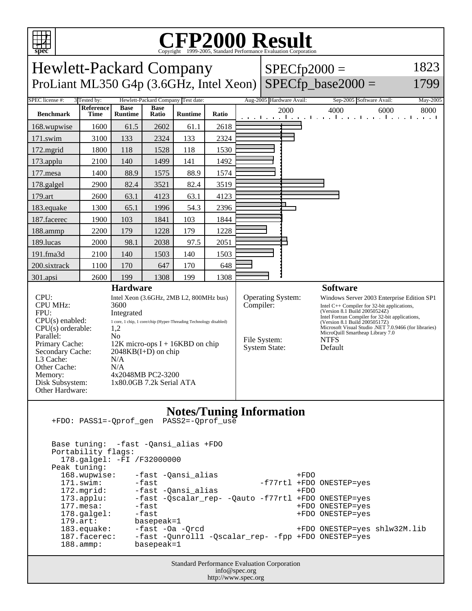

## C<sub>opyright</sub> ©1999-2005, Standard Performance Evaluation Corporation

| <b>Hewlett-Packard Company</b><br>ProLiant ML350 G4p (3.6GHz, Intel Xeon)                                                                                                                                   |                          |                                                                                                                                                                                                                                                                                                                                                       |                      |                |       | $SPECfp2000 =$<br>$SPECfp\_base2000 =$ | 1823<br>1799                                      |                          |                                                                                                                                                                                                                                                                                                                                                            |          |
|-------------------------------------------------------------------------------------------------------------------------------------------------------------------------------------------------------------|--------------------------|-------------------------------------------------------------------------------------------------------------------------------------------------------------------------------------------------------------------------------------------------------------------------------------------------------------------------------------------------------|----------------------|----------------|-------|----------------------------------------|---------------------------------------------------|--------------------------|------------------------------------------------------------------------------------------------------------------------------------------------------------------------------------------------------------------------------------------------------------------------------------------------------------------------------------------------------------|----------|
| SPEC license #:<br>Hewlett-Packard Company Test date:<br>3 Tested by:                                                                                                                                       |                          |                                                                                                                                                                                                                                                                                                                                                       |                      |                |       |                                        |                                                   | Aug-2005 Hardware Avail: | Sep-2005 Software Avail:                                                                                                                                                                                                                                                                                                                                   | May-2005 |
| <b>Benchmark</b>                                                                                                                                                                                            | <b>Reference</b><br>Time | <b>Base</b><br><b>Runtime</b>                                                                                                                                                                                                                                                                                                                         | <b>Base</b><br>Ratio | <b>Runtime</b> | Ratio |                                        |                                                   | 2000                     | 4000<br>6000<br>المتواجب والمتواجب والمتواطن والمتواجب والمتو                                                                                                                                                                                                                                                                                              | 8000     |
| 168.wupwise                                                                                                                                                                                                 | 1600                     | 61.5                                                                                                                                                                                                                                                                                                                                                  | 2602                 | 61.1           | 2618  |                                        |                                                   |                          |                                                                                                                                                                                                                                                                                                                                                            |          |
| 171.swim                                                                                                                                                                                                    | 3100                     | 133                                                                                                                                                                                                                                                                                                                                                   | 2324                 | 133            | 2324  |                                        |                                                   |                          |                                                                                                                                                                                                                                                                                                                                                            |          |
| 172.mgrid                                                                                                                                                                                                   | 1800                     | 118                                                                                                                                                                                                                                                                                                                                                   | 1528                 | 118            | 1530  |                                        |                                                   |                          |                                                                                                                                                                                                                                                                                                                                                            |          |
| 173.applu                                                                                                                                                                                                   | 2100                     | 140                                                                                                                                                                                                                                                                                                                                                   | 1499                 | 141            | 1492  |                                        |                                                   |                          |                                                                                                                                                                                                                                                                                                                                                            |          |
| 177.mesa                                                                                                                                                                                                    | 1400                     | 88.9                                                                                                                                                                                                                                                                                                                                                  | 1575                 | 88.9           | 1574  |                                        |                                                   |                          |                                                                                                                                                                                                                                                                                                                                                            |          |
| 178.galgel                                                                                                                                                                                                  | 2900                     | 82.4                                                                                                                                                                                                                                                                                                                                                  | 3521                 | 82.4           | 3519  |                                        |                                                   |                          |                                                                                                                                                                                                                                                                                                                                                            |          |
| 179.art                                                                                                                                                                                                     | 2600                     | 63.1                                                                                                                                                                                                                                                                                                                                                  | 4123                 | 63.1           | 4123  |                                        |                                                   |                          |                                                                                                                                                                                                                                                                                                                                                            |          |
| 183.equake                                                                                                                                                                                                  | 1300                     | 65.1                                                                                                                                                                                                                                                                                                                                                  | 1996                 | 54.3           | 2396  |                                        |                                                   |                          |                                                                                                                                                                                                                                                                                                                                                            |          |
| 187.facerec                                                                                                                                                                                                 | 1900                     | 103                                                                                                                                                                                                                                                                                                                                                   | 1841                 | 103            | 1844  |                                        |                                                   |                          |                                                                                                                                                                                                                                                                                                                                                            |          |
| 188.ammp                                                                                                                                                                                                    | 2200                     | 179                                                                                                                                                                                                                                                                                                                                                   | 1228                 | 179            | 1228  |                                        |                                                   |                          |                                                                                                                                                                                                                                                                                                                                                            |          |
| 189.lucas                                                                                                                                                                                                   | 2000                     | 98.1                                                                                                                                                                                                                                                                                                                                                  | 2038                 | 97.5           | 2051  |                                        |                                                   |                          |                                                                                                                                                                                                                                                                                                                                                            |          |
| 191.fma3d                                                                                                                                                                                                   | 2100                     | 140                                                                                                                                                                                                                                                                                                                                                   | 1503                 | 140            | 1503  |                                        |                                                   |                          |                                                                                                                                                                                                                                                                                                                                                            |          |
| 200.sixtrack                                                                                                                                                                                                | 1100                     | 170                                                                                                                                                                                                                                                                                                                                                   | 647                  | 170            | 648   |                                        |                                                   |                          |                                                                                                                                                                                                                                                                                                                                                            |          |
| 301.apsi                                                                                                                                                                                                    | 2600                     | 199                                                                                                                                                                                                                                                                                                                                                   | 1308                 | 199            | 1308  |                                        |                                                   |                          |                                                                                                                                                                                                                                                                                                                                                            |          |
| CPU:<br><b>CPU MHz:</b><br>FPII:<br>$CPU(s)$ enabled:<br>CPU(s) orderable:<br>Parallel:<br>Primary Cache:<br>Secondary Cache:<br>L3 Cache:<br>Other Cache:<br>Memory:<br>Disk Subsystem:<br>Other Hardware: |                          | <b>Hardware</b><br>Intel Xeon (3.6GHz, 2MB L2, 800MHz bus)<br>3600<br>Integrated<br>$1\,\, {\rm core},\, 1\,\, {\rm chip},\, 1\,\, {\rm core/chip}$ (Hyper-Threading Technology disabled)<br>1,2<br>N <sub>0</sub><br>$12K$ micro-ops I + 16KBD on chip<br>$2048KB(I+D)$ on chip<br>N/A<br>N/A<br>4x2048MB PC2-3200<br>$1x80.0$ GB 7.2 $k$ Serial ATA |                      |                |       |                                        | Compiler:<br>File System:<br><b>System State:</b> | <b>Operating System:</b> | <b>Software</b><br>Windows Server 2003 Enterprise Edition SP1<br>Intel $C++$ Compiler for 32-bit applications,<br>(Version 8.1 Build 20050524Z)<br>Intel Fortran Compiler for 32-bit applications,<br>(Version 8.1 Build 20050517Z)<br>Microsoft Visual Studio .NET 7.0.9466 (for libraries)<br>MicroQuill Smartheap Library 7.0<br><b>NTFS</b><br>Default |          |
| <b>Notes/Tuning Information</b><br>PASS2=-Oprof use<br>+FDO: PASS1=-Oprof gen                                                                                                                               |                          |                                                                                                                                                                                                                                                                                                                                                       |                      |                |       |                                        |                                                   |                          |                                                                                                                                                                                                                                                                                                                                                            |          |

 Base tuning: -fast -Qansi\_alias +FDO Portability flags: 178.galgel: -FI /F32000000 Peak tuning:<br>168.wupwise: 168.wupwise: -fast -Qansi\_alias +FDO<br>171.swim: -fast -cansi\_alias -f77rtl +FDO -f77rtl +FDO ONESTEP=yes 172.mgrid: -fast -Qansi\_alias +FDO<br>173.applu: -fast -Qscalar\_rep- -Qauto -f77rtl +FDO 173.applu: -fast -Qscalar\_rep- -Qauto -f77rtl +FDO ONESTEP=yes 177.mesa: -fast +FDO ONESTEP=yes 178.galgel: -fast -fast +FDO ONESTEP=yes<br>179.art: basepeak=1 179.art: basepeak=1<br>183.equake: -fast -Oa 183.equake: -fast -Oa -Qrcd +FDO ONESTEP=yes shlw32M.lib 187.facerec: -fast -Qunroll1 -Qscalar\_rep- -fpp +FDO ONESTEP=yes 188.ammp: basepeak=1

> Standard Performance Evaluation Corporation info@spec.org http://www.spec.org